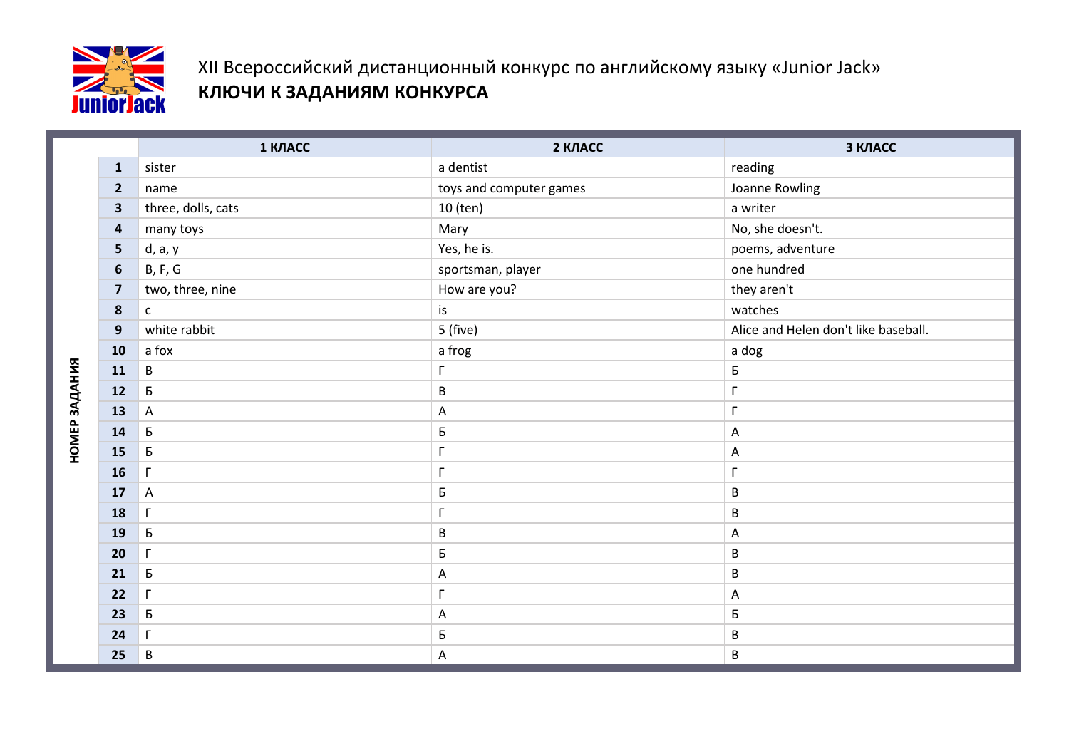

## XII Всероссийский дистанционный конкурс по английскому языку «Junior Jack» **КЛЮЧИ К ЗАДАНИЯМ КОНКУРСА**

|               |                         | 1 КЛАСС            | 2 КЛАСС                 | З КЛАСС                              |
|---------------|-------------------------|--------------------|-------------------------|--------------------------------------|
|               | ${\bf 1}$               | sister             | a dentist               | reading                              |
|               | $\overline{\mathbf{2}}$ | name               | toys and computer games | Joanne Rowling                       |
|               | 3                       | three, dolls, cats | 10 (ten)                | a writer                             |
|               | $\overline{\mathbf{a}}$ | many toys          | Mary                    | No, she doesn't.                     |
|               | 5                       | d, a, y            | Yes, he is.             | poems, adventure                     |
|               | $6\phantom{1}6$         | B, F, G            | sportsman, player       | one hundred                          |
|               | $\overline{\mathbf{z}}$ | two, three, nine   | How are you?            | they aren't                          |
|               | 8                       | $\mathsf{C}$       | is                      | watches                              |
|               | 9                       | white rabbit       | 5 (five)                | Alice and Helen don't like baseball. |
|               | 10                      | a fox              | a frog                  | a dog                                |
|               | 11                      | $\, {\bf B}$       | Г                       | Б                                    |
|               | 12                      | Б                  | B                       | Г                                    |
| НОМЕР ЗАДАНИЯ | 13                      | $\mathsf A$        | A                       | Г                                    |
|               | 14                      | $\sf B$            | Б                       | $\mathsf A$                          |
|               | 15                      | Б                  | Г                       | Α                                    |
|               | 16                      | $\Gamma$           | Г                       | Г                                    |
|               | 17                      | $\mathsf{A}$       | Б                       | $\sf B$                              |
|               | 18                      | $\Gamma$           | Г                       | B                                    |
|               | 19                      | Б                  | B                       | Α                                    |
|               | 20                      | $\Gamma$           | Б                       | $\sf B$                              |
|               | 21                      | Б                  | A                       | $\sf B$                              |
|               | 22                      | $\Gamma$           | Г                       | A                                    |
|               | 23                      | Б                  | A                       | Б                                    |
|               | 24                      | $\Gamma$           | Б                       | $\sf B$                              |
|               | 25                      | $\sf B$            | A                       | $\sf B$                              |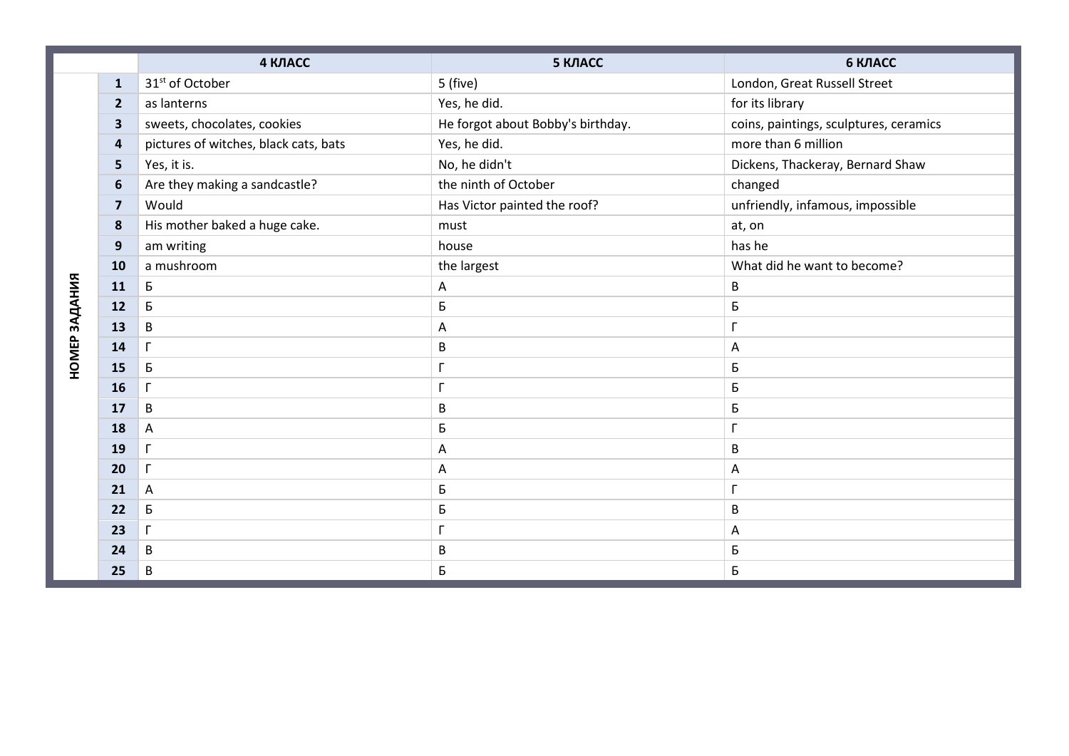|               |                         | 4 КЛАСС                               | 5 КЛАСС                           | 6 КЛАСС                                |
|---------------|-------------------------|---------------------------------------|-----------------------------------|----------------------------------------|
|               | $\mathbf{1}$            | 31 <sup>st</sup> of October           | 5 (five)                          | London, Great Russell Street           |
|               | $\overline{2}$          | as lanterns                           | Yes, he did.                      | for its library                        |
|               | $\overline{\mathbf{3}}$ | sweets, chocolates, cookies           | He forgot about Bobby's birthday. | coins, paintings, sculptures, ceramics |
|               | 4                       | pictures of witches, black cats, bats | Yes, he did.                      | more than 6 million                    |
|               | 5                       | Yes, it is.                           | No, he didn't                     | Dickens, Thackeray, Bernard Shaw       |
|               | $\boldsymbol{6}$        | Are they making a sandcastle?         | the ninth of October              | changed                                |
|               | $\overline{\mathbf{z}}$ | Would                                 | Has Victor painted the roof?      | unfriendly, infamous, impossible       |
|               | 8                       | His mother baked a huge cake.         | must                              | at, on                                 |
|               | $\mathbf{9}$            | am writing                            | house                             | has he                                 |
|               | 10                      | a mushroom                            | the largest                       | What did he want to become?            |
|               | 11                      | Б                                     | Α                                 | B                                      |
| НОМЕР ЗАДАНИЯ | 12                      | Б                                     | Б                                 | Б                                      |
|               | 13                      | B                                     | Α                                 | $\Gamma$                               |
|               | 14                      | $\Gamma$                              | B                                 | A                                      |
|               | 15                      | Б                                     |                                   | Б                                      |
|               | 16                      | $\Gamma$                              |                                   | Б                                      |
|               | 17                      | B                                     | B                                 | Б                                      |
|               | 18                      | A                                     | Б                                 | $\Gamma$                               |
|               | 19                      | $\Gamma$                              | А                                 | B                                      |
|               | 20                      | $\Gamma$                              | Α                                 | A                                      |
|               | 21                      | A                                     | Б                                 | $\Gamma$                               |
|               | 22                      | Б                                     | Б                                 | B                                      |
|               | 23                      | $\Gamma$                              |                                   | $\mathsf{A}$                           |
|               | 24                      | B                                     | B                                 | Б                                      |
|               | 25                      | B                                     | Б                                 | Б                                      |